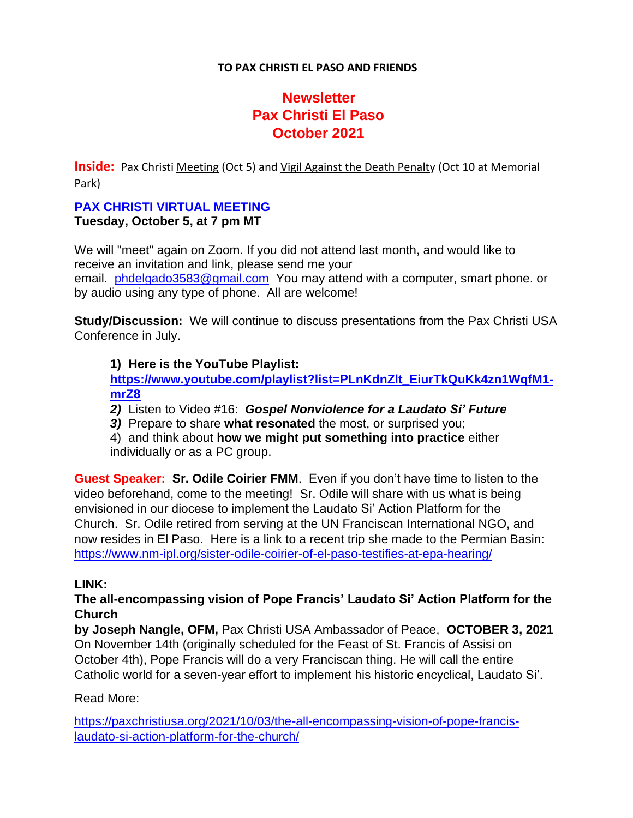### **TO PAX CHRISTI EL PASO AND FRIENDS**

# **Newsletter Pax Christi El Paso October 2021**

**Inside:** Pax Christi Meeting (Oct 5) and Vigil Against the Death Penalty (Oct 10 at Memorial Park)

#### **PAX CHRISTI VIRTUAL MEETING Tuesday, October 5, at 7 pm MT**

We will "meet" again on Zoom. If you did not attend last month, and would like to receive an invitation and link, please send me your email. [phdelgado3583@gmail.com](mailto:phdelgado3583@gmail.com) You may attend with a computer, smart phone. or by audio using any type of phone. All are welcome!

**Study/Discussion:** We will continue to discuss presentations from the Pax Christi USA Conference in July.

## **1) Here is the YouTube Playlist:**

**[https://www.youtube.com/playlist?list=PLnKdnZlt\\_EiurTkQuKk4zn1WqfM1](https://na01.safelinks.protection.outlook.com/?url=https%3A%2F%2Fwww.youtube.com%2Fplaylist%3Flist%3DPLnKdnZlt_EiurTkQuKk4zn1WqfM1-mrZ8&data=04%7C01%7C%7C50ad1d117ca74b30507808d987715e03%7C84df9e7fe9f640afb435aaaaaaaaaaaa%7C1%7C0%7C637689743276704700%7CUnknown%7CTWFpbGZsb3d8eyJWIjoiMC4wLjAwMDAiLCJQIjoiV2luMzIiLCJBTiI6Ik1haWwiLCJXVCI6Mn0%3D%7C1000&sdata=qApi2nLUNXP5MesGlbKrP547GOD4FZphpVH2oM8jaiM%3D&reserved=0) [mrZ8](https://na01.safelinks.protection.outlook.com/?url=https%3A%2F%2Fwww.youtube.com%2Fplaylist%3Flist%3DPLnKdnZlt_EiurTkQuKk4zn1WqfM1-mrZ8&data=04%7C01%7C%7C50ad1d117ca74b30507808d987715e03%7C84df9e7fe9f640afb435aaaaaaaaaaaa%7C1%7C0%7C637689743276704700%7CUnknown%7CTWFpbGZsb3d8eyJWIjoiMC4wLjAwMDAiLCJQIjoiV2luMzIiLCJBTiI6Ik1haWwiLCJXVCI6Mn0%3D%7C1000&sdata=qApi2nLUNXP5MesGlbKrP547GOD4FZphpVH2oM8jaiM%3D&reserved=0)**

*2)* Listen to Video #16: *Gospel Nonviolence for a Laudato Si' Future*

*3)* Prepare to share **what resonated** the most, or surprised you;

4) and think about **how we might put something into practice** either individually or as a PC group.

**Guest Speaker: Sr. Odile Coirier FMM**. Even if you don't have time to listen to the video beforehand, come to the meeting! Sr. Odile will share with us what is being envisioned in our diocese to implement the Laudato Si' Action Platform for the Church. Sr. Odile retired from serving at the UN Franciscan International NGO, and now resides in El Paso. Here is a link to a recent trip she made to the Permian Basin: [https://www.nm-ipl.org/sister-odile-coirier-of-el-paso-testifies-at-epa-hearing/](https://na01.safelinks.protection.outlook.com/?url=https%3A%2F%2Fwww.nm-ipl.org%2Fsister-odile-coirier-of-el-paso-testifies-at-epa-hearing%2F&data=04%7C01%7C%7C50ad1d117ca74b30507808d987715e03%7C84df9e7fe9f640afb435aaaaaaaaaaaa%7C1%7C0%7C637689743276704700%7CUnknown%7CTWFpbGZsb3d8eyJWIjoiMC4wLjAwMDAiLCJQIjoiV2luMzIiLCJBTiI6Ik1haWwiLCJXVCI6Mn0%3D%7C1000&sdata=hBi8joCWnPc%2B%2FBnO%2FMRdPP5hXCDONSbWZP24ttMfWEM%3D&reserved=0)

## **LINK:**

## **The all-encompassing vision of Pope Francis' Laudato Si' Action Platform for the Church**

**by Joseph Nangle, OFM,** Pax Christi USA Ambassador of Peace, **OCTOBER 3, 2021** On November 14th (originally scheduled for the Feast of St. Francis of Assisi on October 4th), Pope Francis will do a very Franciscan thing. He will call the entire Catholic world for a seven-year effort to implement his historic encyclical, Laudato Si'.

## Read More:

[https://paxchristiusa.org/2021/10/03/the-all-encompassing-vision-of-pope-francis](https://na01.safelinks.protection.outlook.com/?url=https%3A%2F%2Fpaxchristiusa.org%2F2021%2F10%2F03%2Fthe-all-encompassing-vision-of-pope-francis-laudato-si-action-platform-for-the-church%2F&data=04%7C01%7C%7C50ad1d117ca74b30507808d987715e03%7C84df9e7fe9f640afb435aaaaaaaaaaaa%7C1%7C0%7C637689743276714693%7CUnknown%7CTWFpbGZsb3d8eyJWIjoiMC4wLjAwMDAiLCJQIjoiV2luMzIiLCJBTiI6Ik1haWwiLCJXVCI6Mn0%3D%7C1000&sdata=SX4fAcrfoV%2BimOzQhY1ElDbECKEybSxSd1P5ZGqKJko%3D&reserved=0)[laudato-si-action-platform-for-the-church/](https://na01.safelinks.protection.outlook.com/?url=https%3A%2F%2Fpaxchristiusa.org%2F2021%2F10%2F03%2Fthe-all-encompassing-vision-of-pope-francis-laudato-si-action-platform-for-the-church%2F&data=04%7C01%7C%7C50ad1d117ca74b30507808d987715e03%7C84df9e7fe9f640afb435aaaaaaaaaaaa%7C1%7C0%7C637689743276714693%7CUnknown%7CTWFpbGZsb3d8eyJWIjoiMC4wLjAwMDAiLCJQIjoiV2luMzIiLCJBTiI6Ik1haWwiLCJXVCI6Mn0%3D%7C1000&sdata=SX4fAcrfoV%2BimOzQhY1ElDbECKEybSxSd1P5ZGqKJko%3D&reserved=0)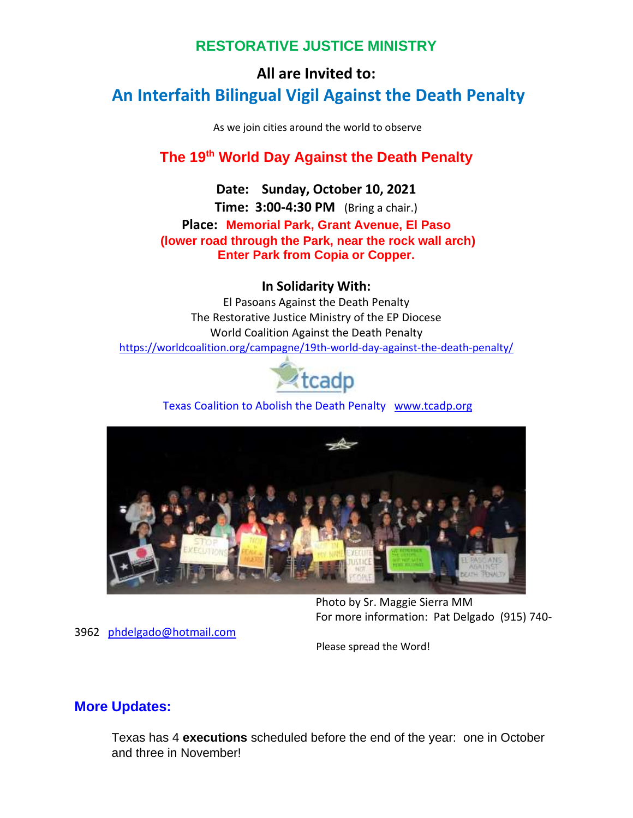# **RESTORATIVE JUSTICE MINISTRY**

# **All are Invited to: An Interfaith Bilingual Vigil Against the Death Penalty**

As we join cities around the world to observe

# **The 19th World Day Against the Death Penalty**

**Date: Sunday, October 10, 2021 Time: 3:00-4:30 PM** (Bring a chair.) **Place: Memorial Park, Grant Avenue, El Paso (lower road through the Park, near the rock wall arch) Enter Park from Copia or Copper.**

## **In Solidarity With:**

El Pasoans Against the Death Penalty The Restorative Justice Ministry of the EP Diocese World Coalition Against the Death Penalty [https://worldcoalition.org/campagne/19th-world-day-against-the-death-penalty/](https://na01.safelinks.protection.outlook.com/?url=https%3A%2F%2Fworldcoalition.org%2Fcampagne%2F19th-world-day-against-the-death-penalty%2F&data=04%7C01%7C%7C50ad1d117ca74b30507808d987715e03%7C84df9e7fe9f640afb435aaaaaaaaaaaa%7C1%7C0%7C637689743276714693%7CUnknown%7CTWFpbGZsb3d8eyJWIjoiMC4wLjAwMDAiLCJQIjoiV2luMzIiLCJBTiI6Ik1haWwiLCJXVCI6Mn0%3D%7C1000&sdata=o5LjZNq4kmb0uFqgsVZh9dlbhsu6zxcJAtfacEBbbo4%3D&reserved=0)



Texas Coalition to Abolish the Death Penalty [www.tcadp.org](https://na01.safelinks.protection.outlook.com/?url=http%3A%2F%2Fwww.tcadp.org%2F&data=04%7C01%7C%7C50ad1d117ca74b30507808d987715e03%7C84df9e7fe9f640afb435aaaaaaaaaaaa%7C1%7C0%7C637689743276724692%7CUnknown%7CTWFpbGZsb3d8eyJWIjoiMC4wLjAwMDAiLCJQIjoiV2luMzIiLCJBTiI6Ik1haWwiLCJXVCI6Mn0%3D%7C1000&sdata=RNnQt1qFQ5Cq%2FyAbDgT55hLHNs8BbzsFBUif6s8TWeI%3D&reserved=0)



Photo by Sr. Maggie Sierra MM For more information: Pat Delgado (915) 740-

3962 [phdelgado@hotmail.com](mailto:phdelgado@hotmail.com)

Please spread the Word!

## **More Updates:**

Texas has 4 **executions** scheduled before the end of the year: one in October and three in November!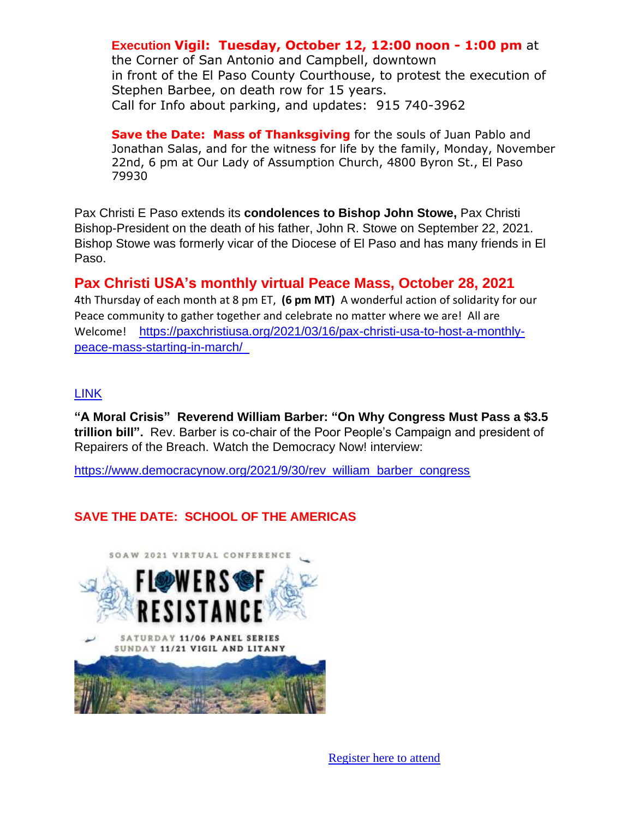**Execution Vigil: Tuesday, October 12, 12:00 noon - 1:00 pm** at the Corner of San Antonio and Campbell, downtown in front of the El Paso County Courthouse, to protest the execution of Stephen Barbee, on death row for 15 years. Call for Info about parking, and updates: 915 740-3962

**Save the Date: Mass of Thanksgiving** for the souls of Juan Pablo and Jonathan Salas, and for the witness for life by the family, Monday, November 22nd, 6 pm at Our Lady of Assumption Church, 4800 Byron St., El Paso 79930

Pax Christi E Paso extends its **condolences to Bishop John Stowe,** Pax Christi Bishop-President on the death of his father, John R. Stowe on September 22, 2021. Bishop Stowe was formerly vicar of the Diocese of El Paso and has many friends in El Paso.

# **Pax Christi USA's monthly virtual Peace Mass, October 28, 2021**

4th Thursday of each month at 8 pm ET, **(6 pm MT)** A wonderful action of solidarity for our Peace community to gather together and celebrate no matter where we are! All are Welcome! [https://paxchristiusa.org/2021/03/16/pax-christi-usa-to-host-a-monthly](https://na01.safelinks.protection.outlook.com/?url=https%3A%2F%2Fpaxchristiusa.org%2F2021%2F03%2F16%2Fpax-christi-usa-to-host-a-monthly-peace-mass-starting-in-march%2F&data=04%7C01%7C%7C50ad1d117ca74b30507808d987715e03%7C84df9e7fe9f640afb435aaaaaaaaaaaa%7C1%7C0%7C637689743276724692%7CUnknown%7CTWFpbGZsb3d8eyJWIjoiMC4wLjAwMDAiLCJQIjoiV2luMzIiLCJBTiI6Ik1haWwiLCJXVCI6Mn0%3D%7C1000&sdata=b9Nyqu0GyOOT214%2BVYZU7ZoH6tpEL0VI%2FS7DNEgi%2FtM%3D&reserved=0)[peace-mass-starting-in-march/](https://na01.safelinks.protection.outlook.com/?url=https%3A%2F%2Fpaxchristiusa.org%2F2021%2F03%2F16%2Fpax-christi-usa-to-host-a-monthly-peace-mass-starting-in-march%2F&data=04%7C01%7C%7C50ad1d117ca74b30507808d987715e03%7C84df9e7fe9f640afb435aaaaaaaaaaaa%7C1%7C0%7C637689743276724692%7CUnknown%7CTWFpbGZsb3d8eyJWIjoiMC4wLjAwMDAiLCJQIjoiV2luMzIiLCJBTiI6Ik1haWwiLCJXVCI6Mn0%3D%7C1000&sdata=b9Nyqu0GyOOT214%2BVYZU7ZoH6tpEL0VI%2FS7DNEgi%2FtM%3D&reserved=0) 

## LINK

**"A Moral Crisis" Reverend William Barber: "On Why Congress Must Pass a \$3.5 trillion bill".** Rev. Barber is co-chair of the Poor People's Campaign and president of Repairers of the Breach. Watch the Democracy Now! interview:

[https://www.democracynow.org/2021/9/30/rev\\_william\\_barber\\_congress](https://na01.safelinks.protection.outlook.com/?url=https%3A%2F%2Fwww.democracynow.org%2F2021%2F9%2F30%2Frev_william_barber_congress&data=04%7C01%7C%7C50ad1d117ca74b30507808d987715e03%7C84df9e7fe9f640afb435aaaaaaaaaaaa%7C1%7C0%7C637689743276734689%7CUnknown%7CTWFpbGZsb3d8eyJWIjoiMC4wLjAwMDAiLCJQIjoiV2luMzIiLCJBTiI6Ik1haWwiLCJXVCI6Mn0%3D%7C1000&sdata=HCcJf3legSP1cBlzOVzRlnlPQdARFWrri6Xu5dtwXq8%3D&reserved=0)

# **SAVE THE DATE: SCHOOL OF THE AMERICAS**